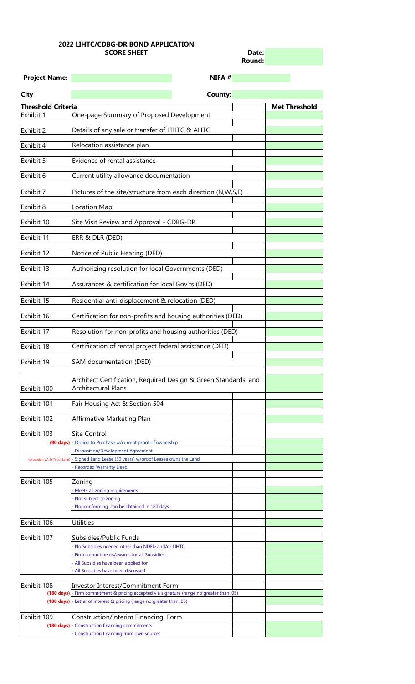| Date:         |  |
|---------------|--|
| <b>Round:</b> |  |

Exhibit 102 Affirmative Marketing Plan

| <b>Project Name:</b>      | NIFA #                                                                                        |                      |
|---------------------------|-----------------------------------------------------------------------------------------------|----------------------|
| <b>City</b>               | County:                                                                                       |                      |
| <b>Threshold Criteria</b> |                                                                                               | <b>Met Threshold</b> |
| Exhibit 1                 | One-page Summary of Proposed Development                                                      |                      |
| Exhibit 2                 | Details of any sale or transfer of LIHTC & AHTC                                               |                      |
| Exhibit 4                 | Relocation assistance plan                                                                    |                      |
| Exhibit 5                 | Evidence of rental assistance                                                                 |                      |
| Exhibit 6                 | Current utility allowance documentation                                                       |                      |
| Exhibit 7                 | Pictures of the site/structure from each direction (N,W,S,E)                                  |                      |
| Exhibit 8                 | Location Map                                                                                  |                      |
| Exhibit 10                | Site Visit Review and Approval - CDBG-DR                                                      |                      |
| Exhibit 11                | ERR & DLR (DED)                                                                               |                      |
| Exhibit 12                | Notice of Public Hearing (DED)                                                                |                      |
| Exhibit 13                | Authorizing resolution for local Governments (DED)                                            |                      |
| Exhibit 14                | Assurances & certification for local Gov'ts (DED)                                             |                      |
| Exhibit 15                | Residential anti-displacement & relocation (DED)                                              |                      |
| Exhibit 16                | Certification for non-profits and housing authorities (DED)                                   |                      |
| Exhibit 17                | Resolution for non-profits and housing authorities (DED)                                      |                      |
| Exhibit 18                | Certification of rental project federal assistance (DED)                                      |                      |
| Exhibit 19                | SAM documentation (DED)                                                                       |                      |
| Exhibit 100               | Architect Certification, Required Design & Green Standards, and<br><b>Architectural Plans</b> |                      |
| Exhibit 101               | Fair Housing Act & Section 504                                                                |                      |

| Exhibit 103 | <b>Site Control</b>                                                                       |  |
|-------------|-------------------------------------------------------------------------------------------|--|
|             | (90 days) - Option to Purchase w/current proof of ownership                               |  |
|             | - Disposition/Development Agreement                                                       |  |
|             | (exception VA & Tribal Land) - Signed Land Lease (50 years) w/proof Leasee owns the Land  |  |
|             | - Recorded Warranty Deed                                                                  |  |
|             |                                                                                           |  |
| Exhibit 105 | Zoning                                                                                    |  |
|             | - Meets all zoning requirements                                                           |  |
|             | - Not subject to zoning                                                                   |  |
|             | - Nonconforming, can be obtained in 180 days                                              |  |
|             |                                                                                           |  |
| Exhibit 106 | <b>Utilities</b>                                                                          |  |
|             |                                                                                           |  |
| Exhibit 107 | Subsidies/Public Funds                                                                    |  |
|             | - No Subsidies needed other than NDED and/or LIHTC                                        |  |
|             | - Firm commitments/awards for all Subsidies                                               |  |
|             | - All Subsidies have been applied for                                                     |  |
|             | - All Subsidies have been discussed                                                       |  |
|             |                                                                                           |  |
| Exhibit 108 | <b>Investor Interest/Commitment Form</b>                                                  |  |
|             | (180 days) - Firm commitment & pricing accepted via signature (range no greater than .05) |  |
|             | (180 days) - Letter of interest & pricing (range no greater than .05)                     |  |
|             |                                                                                           |  |
| Exhibit 109 | Construction/Interim Financing Form                                                       |  |
|             | (180 days) - Construction financing commitments                                           |  |
|             | - Construction financing from own sources                                                 |  |

## **2022 LIHTC/CDBG-DR BOND APPLICATION SCORE SHEET**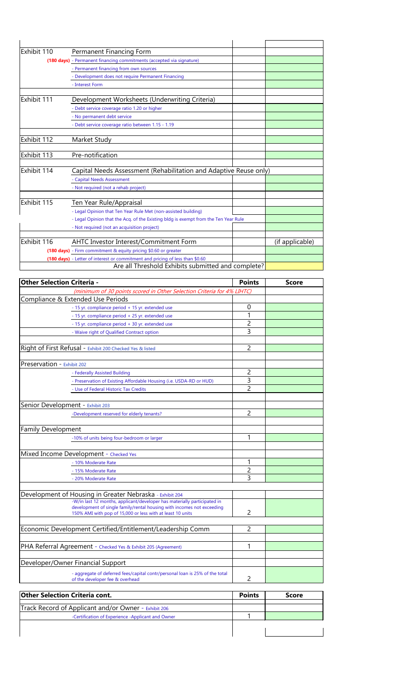| Exhibit 110 | <b>Permanent Financing Form</b>                                                     |                 |
|-------------|-------------------------------------------------------------------------------------|-----------------|
|             | (180 days) - Permanent financing commitments (accepted via signature)               |                 |
|             | - Permanent financing from own sources                                              |                 |
|             | - Development does not require Permanent Financing                                  |                 |
|             | - Interest Form                                                                     |                 |
|             |                                                                                     |                 |
| Exhibit 111 | Development Worksheets (Underwriting Criteria)                                      |                 |
|             | - Debt service coverage ratio 1.20 or higher                                        |                 |
|             | - No permanent debt service                                                         |                 |
|             | - Debt service coverage ratio between 1.15 - 1.19                                   |                 |
|             |                                                                                     |                 |
| Exhibit 112 | Market Study                                                                        |                 |
|             |                                                                                     |                 |
| Exhibit 113 | Pre-notification                                                                    |                 |
| Exhibit 114 | Capital Needs Assessment (Rehabilitation and Adaptive Reuse only)                   |                 |
|             | - Capital Needs Assessment                                                          |                 |
|             | - Not required (not a rehab project)                                                |                 |
|             |                                                                                     |                 |
| Exhibit 115 | Ten Year Rule/Appraisal                                                             |                 |
|             | - Legal Opinion that Ten Year Rule Met (non-assisted building)                      |                 |
|             | - Legal Opinion that the Acq. of the Existing bldg is exempt from the Ten Year Rule |                 |
|             | - Not required (not an acquisition project)                                         |                 |
|             |                                                                                     |                 |
| Exhibit 116 | <b>AHTC Investor Interest/Commitment Form</b>                                       | (if applicable) |
|             | (180 days) - Firm commitment & equity pricing \$0.60 or greater                     |                 |
|             | (180 days) - Letter of interest or commitment and pricing of less than \$0.60       |                 |
|             | Are all Threshold Exhibits submitted and complete?                                  |                 |

| <b>Other Selection Criteria -</b>                                                                                                    |                | <b>Score</b> |
|--------------------------------------------------------------------------------------------------------------------------------------|----------------|--------------|
| (minimum of 30 points scored in Other Selection Criteria for 4% LIHTC)                                                               |                |              |
| Compliance & Extended Use Periods                                                                                                    |                |              |
| - 15 yr. compliance period + 15 yr. extended use                                                                                     | $\overline{0}$ |              |
| - 15 yr. compliance period + 25 yr. extended use                                                                                     |                |              |
| - 15 yr. compliance period + 30 yr. extended use                                                                                     | 2              |              |
| - Waive right of Qualified Contract option                                                                                           | 3              |              |
|                                                                                                                                      |                |              |
| Right of First Refusal - Exhibit 200 Checked Yes & listed                                                                            | $\overline{2}$ |              |
| Preservation - Exhibit 202                                                                                                           |                |              |
| - Federally Assisted Building                                                                                                        | 2              |              |
| - Preservation of Existing Affordable Housing (i.e. USDA-RD or HUD)                                                                  | 3              |              |
| - Use of Federal Historic Tax Credits                                                                                                | $\overline{2}$ |              |
|                                                                                                                                      |                |              |
| Senior Development - Exhibit 203                                                                                                     |                |              |
| -Development reserved for elderly tenants?                                                                                           | 2              |              |
|                                                                                                                                      |                |              |
| <b>Family Development</b>                                                                                                            |                |              |
| -10% of units being four-bedroom or larger                                                                                           | 1              |              |
| Mixed Income Development - Checked Yes                                                                                               |                |              |
| - 10% Moderate Rate                                                                                                                  | 1              |              |
| - 15% Moderate Rate                                                                                                                  | $\overline{c}$ |              |
| - 20% Moderate Rate                                                                                                                  | 3              |              |
|                                                                                                                                      |                |              |
| Development of Housing in Greater Nebraska - Exhibit 204                                                                             |                |              |
| -W/in last 12 months, applicant/developer has materially participated in                                                             |                |              |
| development of single family/rental housing with incomes not exceeding<br>150% AMI with pop of 15,000 or less with at least 10 units | $\overline{2}$ |              |
|                                                                                                                                      |                |              |
| Economic Development Certified/Entitlement/Leadership Comm                                                                           | $\overline{2}$ |              |
|                                                                                                                                      |                |              |
| PHA Referral Agreement - Checked Yes & Exhibit 205 (Agreement)                                                                       | 1              |              |
|                                                                                                                                      |                |              |
| Developer/Owner Financial Support                                                                                                    |                |              |
| - aggregate of deferred fees/capital contr/personal loan is 25% of the total<br>of the developer fee & overhead                      | 2              |              |
|                                                                                                                                      |                |              |

| <b>Other Selection Criteria cont.</b>                       | <b>Points</b> | <b>Score</b> |
|-------------------------------------------------------------|---------------|--------------|
| <b>Track Record of Applicant and/or Owner - Exhibit 206</b> |               |              |
| -Certification of Experience -Applicant and Owner           |               |              |
|                                                             |               |              |
|                                                             |               |              |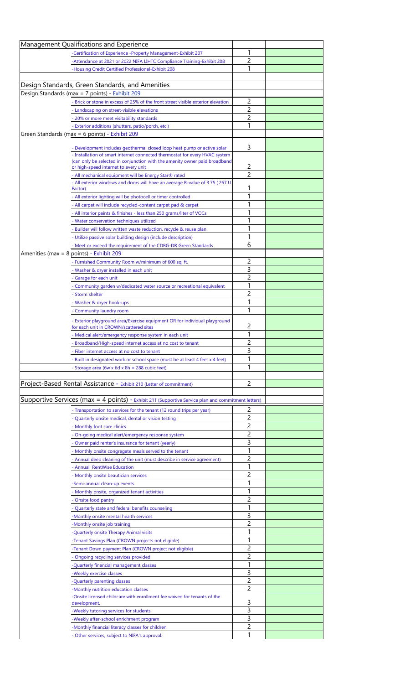| Management Qualifications and Experience                                                                             |                |  |
|----------------------------------------------------------------------------------------------------------------------|----------------|--|
| -Certification of Experience -Property Management-Exhibit 207                                                        | 1              |  |
| -Attendance at 2021 or 2022 NIFA LIHTC Compliance Training-Exhibit 208                                               | $\overline{2}$ |  |
| -Housing Credit Certified Professional-Exhibit 208                                                                   | 1              |  |
|                                                                                                                      |                |  |
| Design Standards, Green Standards, and Amenities                                                                     |                |  |
| Design Standards (max = 7 points) - Exhibit 209                                                                      | 2              |  |
| - Brick or stone in excess of 25% of the front street visible exterior elevation                                     | $\overline{2}$ |  |
| - Landscaping on street-visible elevations                                                                           |                |  |
| - 20% or more meet visitability standards                                                                            | $\overline{2}$ |  |
| - Exterior additions (shutters, patio/porch, etc.)                                                                   | 1              |  |
| Green Standards (max = 6 points) - Exhibit 209                                                                       |                |  |
| - Development includes geothermal closed loop heat pump or active solar                                              | 3              |  |
| - Installation of smart internet connected thermostat for every HVAC system                                          |                |  |
| (can only be selected in conjunction with the amenity owner paid broadband                                           |                |  |
| or high-speed internet to every unit                                                                                 | 2              |  |
| - All mechanical equipment will be Energy Star® rated                                                                | $\overline{2}$ |  |
| - All exterior windows and doors will have an average R-value of 3.75 (.267 U<br>Factor).                            |                |  |
| - All exterior lighting will be photocell or timer controlled                                                        |                |  |
| - All carpet will include recycled-content carpet pad & carpet                                                       |                |  |
| - All interior paints & finishes - less than 250 grams/liter of VOCs                                                 |                |  |
|                                                                                                                      |                |  |
| - Water conservation techniques utilized<br>- Builder will follow written waste reduction, recycle & reuse plan      | 1              |  |
| - Utilize passive solar building design (include description)                                                        |                |  |
| - Meet or exceed the requirement of the CDBG-DR Green Standards                                                      | 6              |  |
|                                                                                                                      |                |  |
| Amenities (max = 8 points) - Exhibit 209                                                                             | 2              |  |
| - Furnished Community Room w/minimum of 600 sq. ft.                                                                  | 3              |  |
| - Washer & dryer installed in each unit                                                                              |                |  |
| - Garage for each unit                                                                                               | 2              |  |
| - Community garden w/dedicated water source or recreational equivalent                                               |                |  |
| - Storm shelter                                                                                                      | 2              |  |
| - Washer & dryer hook-ups                                                                                            |                |  |
| - Community laundry room                                                                                             | 1              |  |
| - Exterior playground area/Exercise equipment OR for individual playground<br>for each unit in CROWN/scattered sites | 2              |  |
|                                                                                                                      |                |  |
|                                                                                                                      |                |  |
| - Medical alert/emergency response system in each unit                                                               | 1              |  |
| - Broadband/High-speed internet access at no cost to tenant                                                          | 2              |  |
| - Fiber internet access at no cost to tenant                                                                         | 3              |  |
| - Built in designated work or school space (must be at least 4 feet x 4 feet)                                        |                |  |
| - Storage area (6w x 6d x 8h = 288 cubic feet)                                                                       | 1              |  |
|                                                                                                                      |                |  |
| Project-Based Rental Assistance - Exhibit 210 (Letter of commitment)                                                 | 2              |  |
|                                                                                                                      |                |  |
| Supportive Services ( $max = 4$ points) - Exhibit 211 (Supportive Service plan and commitment letters)               |                |  |
| - Transportation to services for the tenant (12 round trips per year)                                                | 2              |  |
| - Quarterly onsite medical, dental or vision testing                                                                 | 2              |  |
| - Monthly foot care clinics                                                                                          | 2              |  |
| - On-going medical alert/emergency response system                                                                   | 2              |  |
| - Owner paid renter's insurance for tenant (yearly)                                                                  | 3              |  |
| - Monthly onsite congregate meals served to the tenant                                                               |                |  |
| - Annual deep cleaning of the unit (must describe in service agreement)                                              | 2              |  |
| - Annual RentWise Education                                                                                          |                |  |
| - Monthly onsite beautician services                                                                                 |                |  |
| -Semi-annual clean-up events                                                                                         |                |  |
| - Monthly onsite, organized tenant activities                                                                        |                |  |
| - Onsite food pantry                                                                                                 | 2              |  |
| Quarterly state and federal benefits counseling                                                                      | 1              |  |
| -Monthly onsite mental health services                                                                               | 3              |  |
| -Monthly onsite job training                                                                                         | 2              |  |
| -Quarterly onsite Therapy Animal visits                                                                              |                |  |
| -Tenant Savings Plan (CROWN projects not eligible)                                                                   | 1              |  |
| -Tenant Down payment Plan (CROWN project not eligible)                                                               | 2              |  |
| - Ongoing recycling services provided                                                                                | 2              |  |
| -Quarterly financial management classes                                                                              | 1              |  |
| -Weekly exercise classes                                                                                             | 3              |  |
| -Quarterly parenting classes                                                                                         | $\overline{2}$ |  |
| -Monthly nutrition education classes                                                                                 | 2              |  |
| -Onsite licensed childcare with enrollment fee waived for tenants of the                                             |                |  |
| development.                                                                                                         | 3              |  |
| -Weekly tutoring services for students                                                                               | 3              |  |
| -Weekly after-school enrichment program<br>-Monthly financial literacy classes for children                          | 3<br>2         |  |